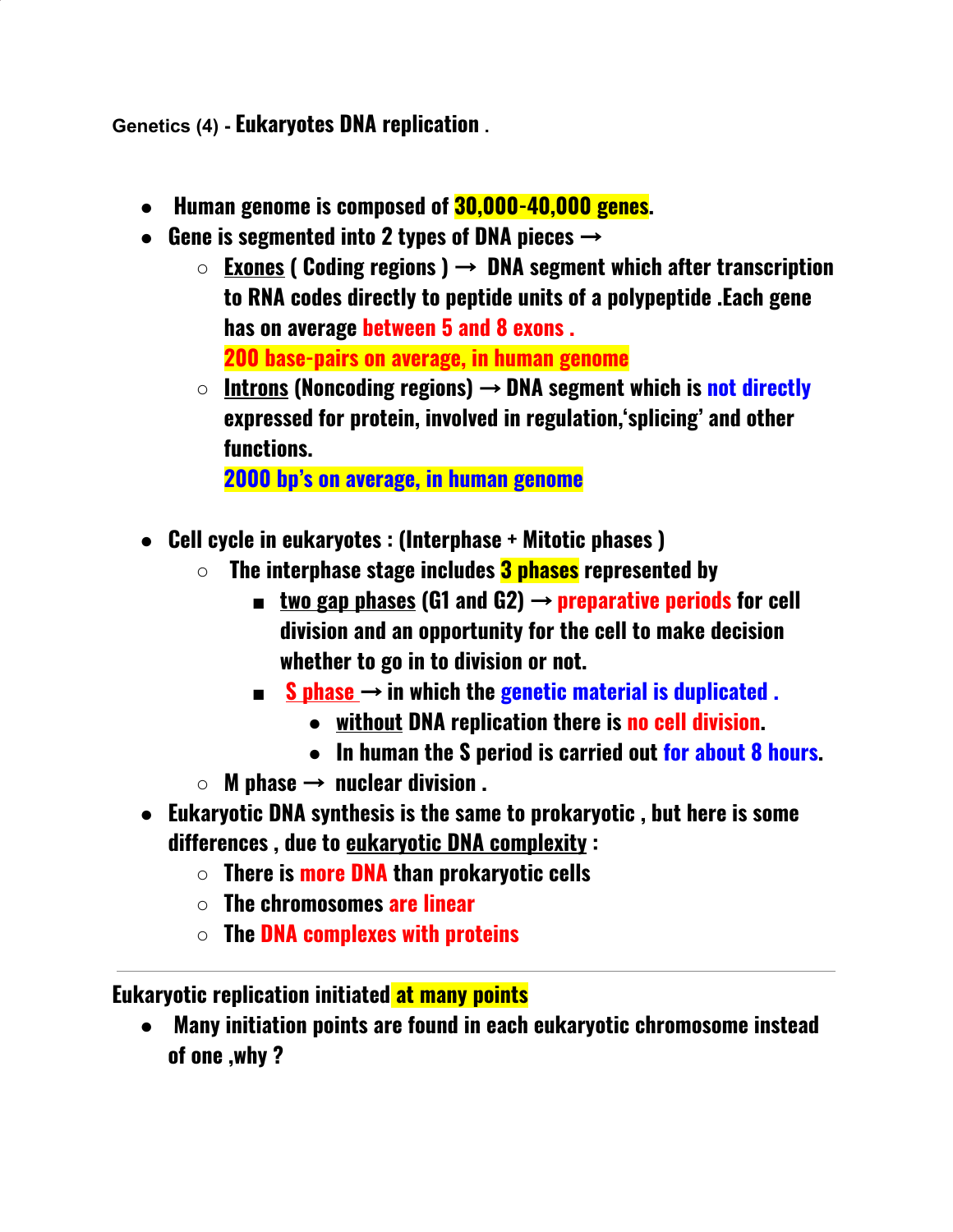**Genetics (4) - Eukaryotes DNA replication .**

- **● Human genome is composed of 30,000-40,000 genes.**
- **● Gene is segmented into 2 types of DNA pieces** →
	- **○ Exones ( Coding regions )** → **DNA segment which after transcription to RNA codes directly to peptide units of a polypeptide .Each gene has on average between 5 and 8 exons . 200 base-pairs on average, in human genome**
	- **○ Introns (Noncoding regions)** → **DNA segment which is not directly expressed for protein, involved in regulation,'splicing' and other functions.**

**2000 bp's on average, in human genome**

- **● Cell cycle in eukaryotes : (Interphase + Mitotic phases )**
	- **○ The interphase stage includes 3 phases represented by**
		- **■ two gap phases (G1 and G2)** → **preparative periods for cell division and an opportunity for the cell to make decision whether to go in to division or not.**
		- **■ S phase** → **in which the genetic material is duplicated .**
			- **● without DNA replication there is no cell division.**
			- **● In human the S period is carried out for about 8 hours.**
	- **○ M phase** → **nuclear division .**
- **● Eukaryotic DNA synthesis is the same to prokaryotic , but here is some differences , due to eukaryotic DNA complexity :**
	- **○ There is more DNA than prokaryotic cells**
	- **○ The chromosomes are linear**
	- **○ The DNA complexes with proteins**

## **Eukaryotic replication initiated at many points**

**● Many initiation points are found in each eukaryotic chromosome instead of one ,why ?**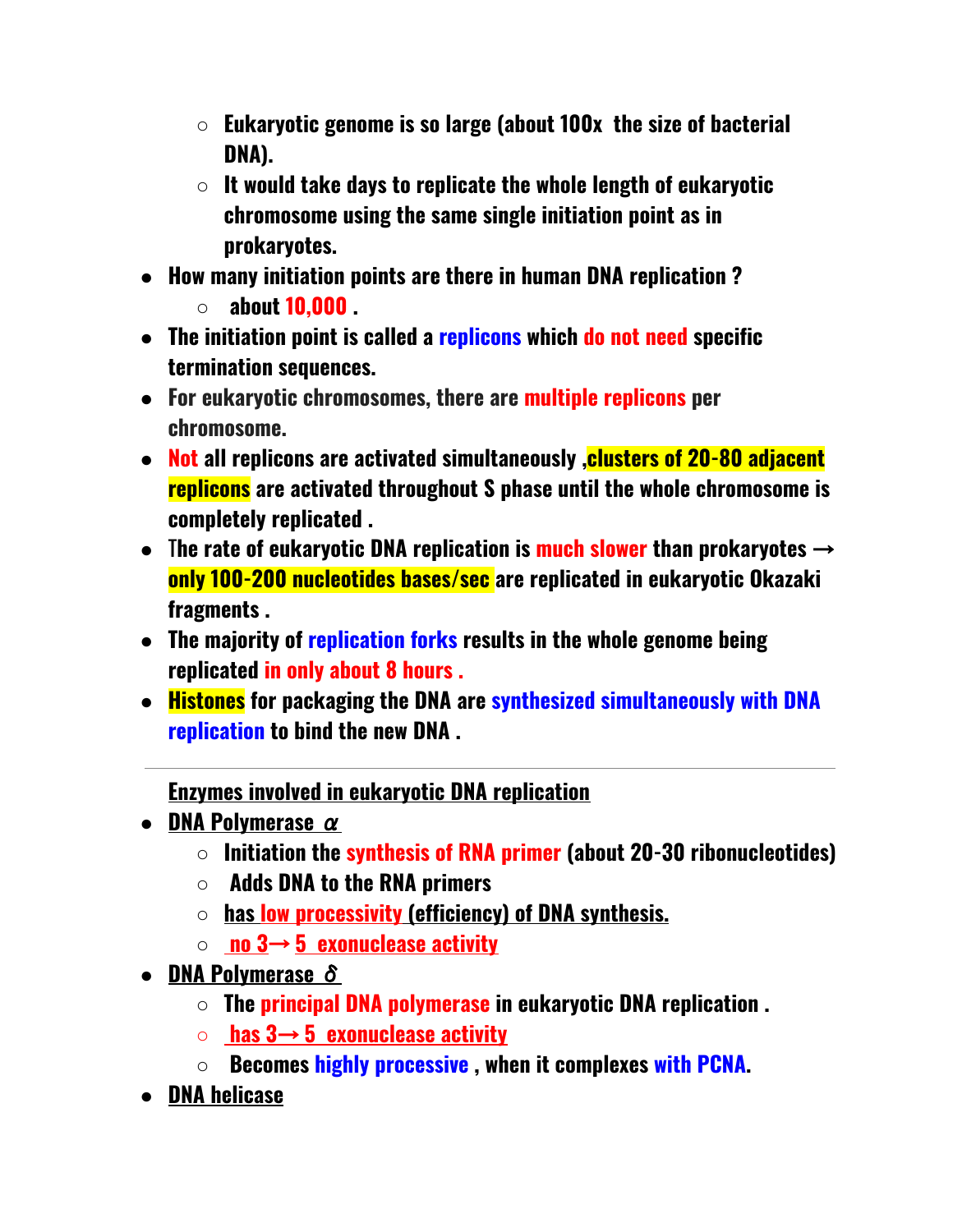- **○ Eukaryotic genome is so large (about 100x the size of bacterial DNA).**
- **○ It would take days to replicate the whole length of eukaryotic chromosome using the same single initiation point as in prokaryotes.**
- **● How many initiation points are there in human DNA replication ?**
	- **○ about 10,000 .**
- **● The initiation point is called a replicons which do not need specific termination sequences.**
- **● For eukaryotic chromosomes, there are multiple replicons per chromosome.**
- **● Not all replicons are activated simultaneously ,clusters of 20-80 adjacent replicons are activated throughout S phase until the whole chromosome is completely replicated .**
- T**he rate of eukaryotic DNA replication is much slower than prokaryotes** → **only 100-200 nucleotides bases/sec are replicated in eukaryotic Okazaki fragments .**
- **● The majority of replication forks results in the whole genome being replicated in only about 8 hours .**
- **● Histones for packaging the DNA are synthesized simultaneously with DNA replication to bind the new DNA .**

**Enzymes involved in eukaryotic DNA replication**

- **● DNA Polymerase** α
	- **○ Initiation the synthesis of RNA primer (about 20-30 ribonucleotides)**
	- **○ Adds DNA to the RNA primers**
	- **○ has low processivity (efficiency) of DNA synthesis.**
	- **○ no 3**→ **5 exonuclease activity**
- **● DNA Polymerase** δ
	- **○ The principal DNA polymerase in eukaryotic DNA replication .**
	- **○ has 3**→ **5 exonuclease activity**
	- **○ Becomes highly processive , when it complexes with PCNA.**
- **● DNA helicase**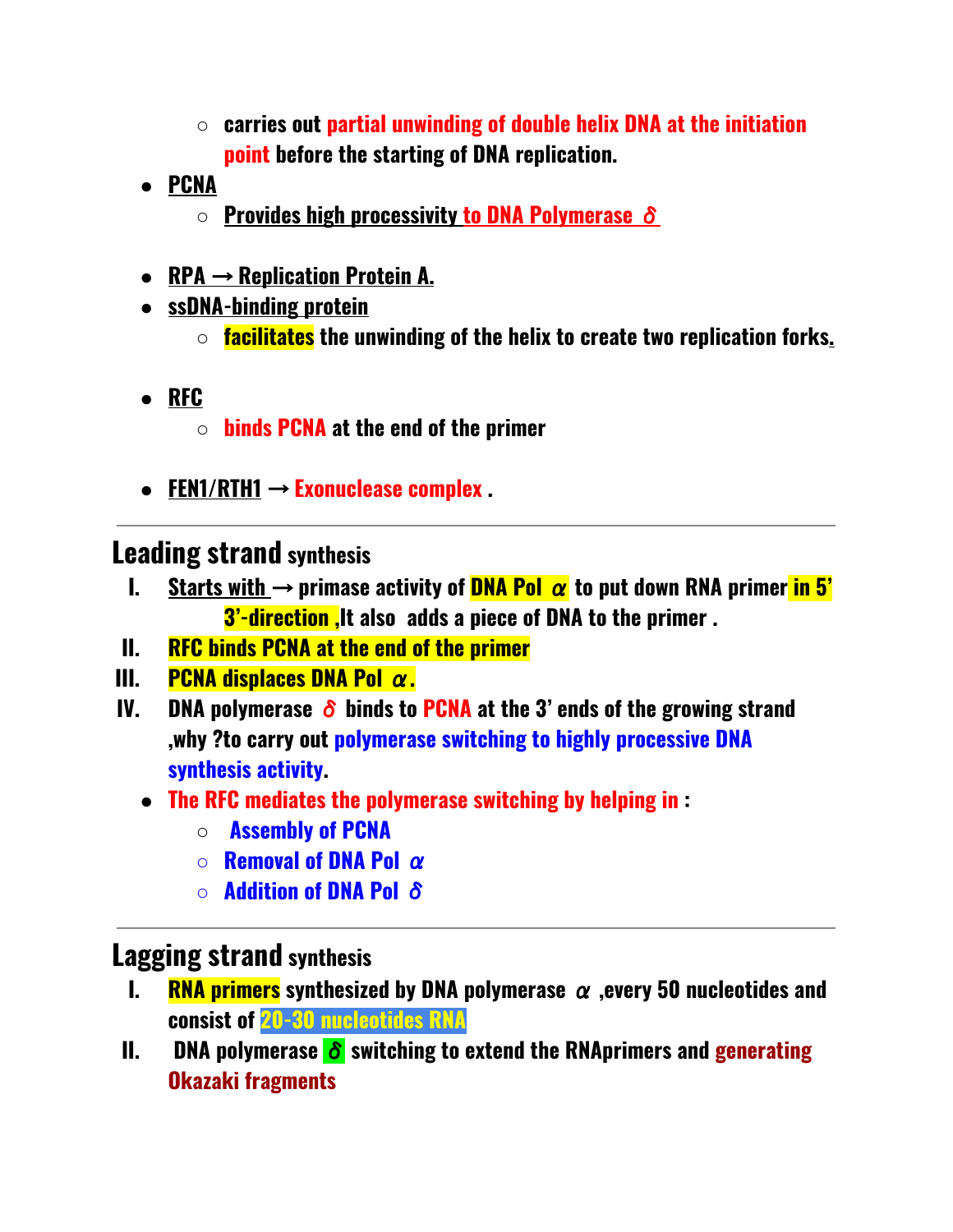- **○ carries out partial unwinding of double helix DNA at the initiation point before the starting of DNA replication.**
- **● PCNA**
	- **○ Provides high processivity to DNA Polymerase** δ
- **● RPA** → **Replication Protein A.**
- **● ssDNA-binding protein**
	- **○ facilitates the unwinding of the helix to create two replication forks.**
- **● RFC**
	- **○ binds PCNA at the end of the primer**
- **● FEN1/RTH1** → **Exonuclease complex .**

## **Leading strand synthesis**

- **I.** Starts with  $\rightarrow$  primase activity of **DNA Pol**  $\alpha$  to put down RNA primer in 5' **3'-direction ,It also adds a piece of DNA to the primer .**
- **II. RFC binds PCNA at the end of the primer**
- **III. PCNA displaces DNA Pol** α**.**
- **IV. DNA polymerase** δ **binds to PCNA at the 3' ends of the growing strand ,why ?to carry out polymerase switching to highly processive DNA synthesis activity.**
	- **● The RFC mediates the polymerase switching by helping in :**
		- **○ Assembly of PCNA**
		- **○ Removal of DNA Pol** α
		- **○ Addition of DNA Pol** δ

## **Lagging strand synthesis**

- **I. RNA primers synthesized by DNA polymerase** α **,every 50 nucleotides and consist of 20-30 nucleotides RNA**
- **II. DNA polymerase** δ **switching to extend the RNAprimers and generating Okazaki fragments**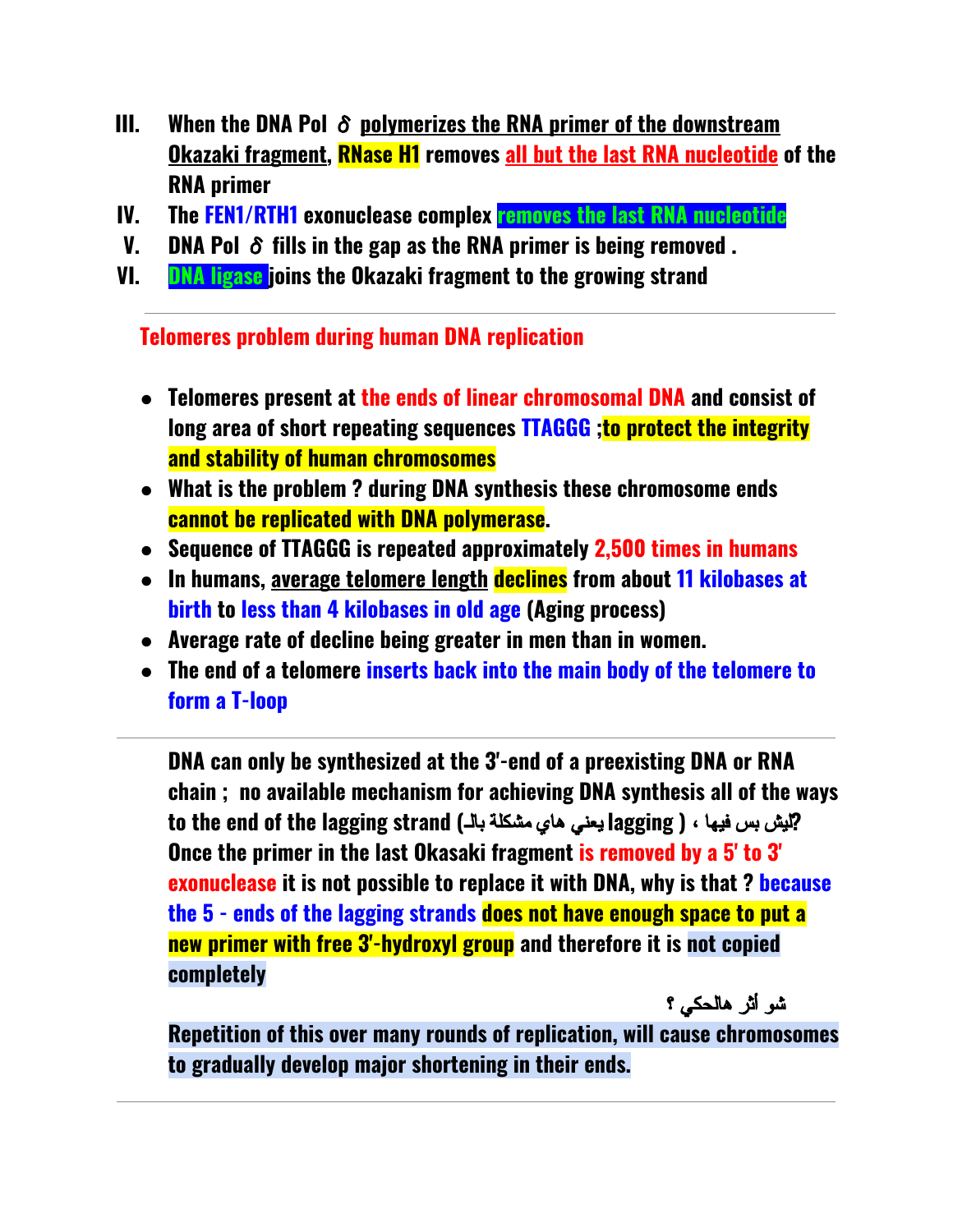- **III. When the DNA Pol** δ **polymerizes the RNA primer of the downstream Okazaki fragment, RNase H1 removes all but the last RNA nucleotide of the RNA primer**
- **IV. The FEN1/RTH1 exonuclease complex removes the last RNA nucleotide**
- **V. DNA Pol** δ **fills in the gap as the RNA primer is being removed .**
- **VI. DNA ligase joins the Okazaki fragment to the growing strand**

**Telomeres problem during human DNA replication**

- **● Telomeres present at the ends of linear chromosomal DNA and consist of long area of short repeating sequences TTAGGG ;to protect the integrity and stability of human chromosomes**
- **● What is the problem ? during DNA synthesis these chromosome ends cannot be replicated with DNA polymerase.**
- **● Sequence of TTAGGG is repeated approximately 2,500 times in humans**
- **● In humans, average telomere length declines from about 11 kilobases at birth to less than 4 kilobases in old age (Aging process)**
- **● Average rate of decline being greater in men than in women.**
- **● The end of a telomere inserts back into the main body of the telomere to form a T-loop**

**DNA can only be synthesized at the 3'-end of a preexisting DNA or RNA chain ; no available mechanism for achieving DNA synthesis all of the ways to the end of the lagging strand (**بالـ مشكلة هاي یعني **lagging )** ، فیها بس لیش**? Once the primer in the last Okasaki fragment is removed by a 5' to 3' exonuclease it is not possible to replace it with DNA, why is that ? because the 5 - ends of the lagging strands does not have enough space to put a new primer with free 3'-hydroxyl group and therefore it is not copied completely**

شو أثر هالحكي ؟

**Repetition of this over many rounds of replication, will cause chromosomes to gradually develop major shortening in their ends.**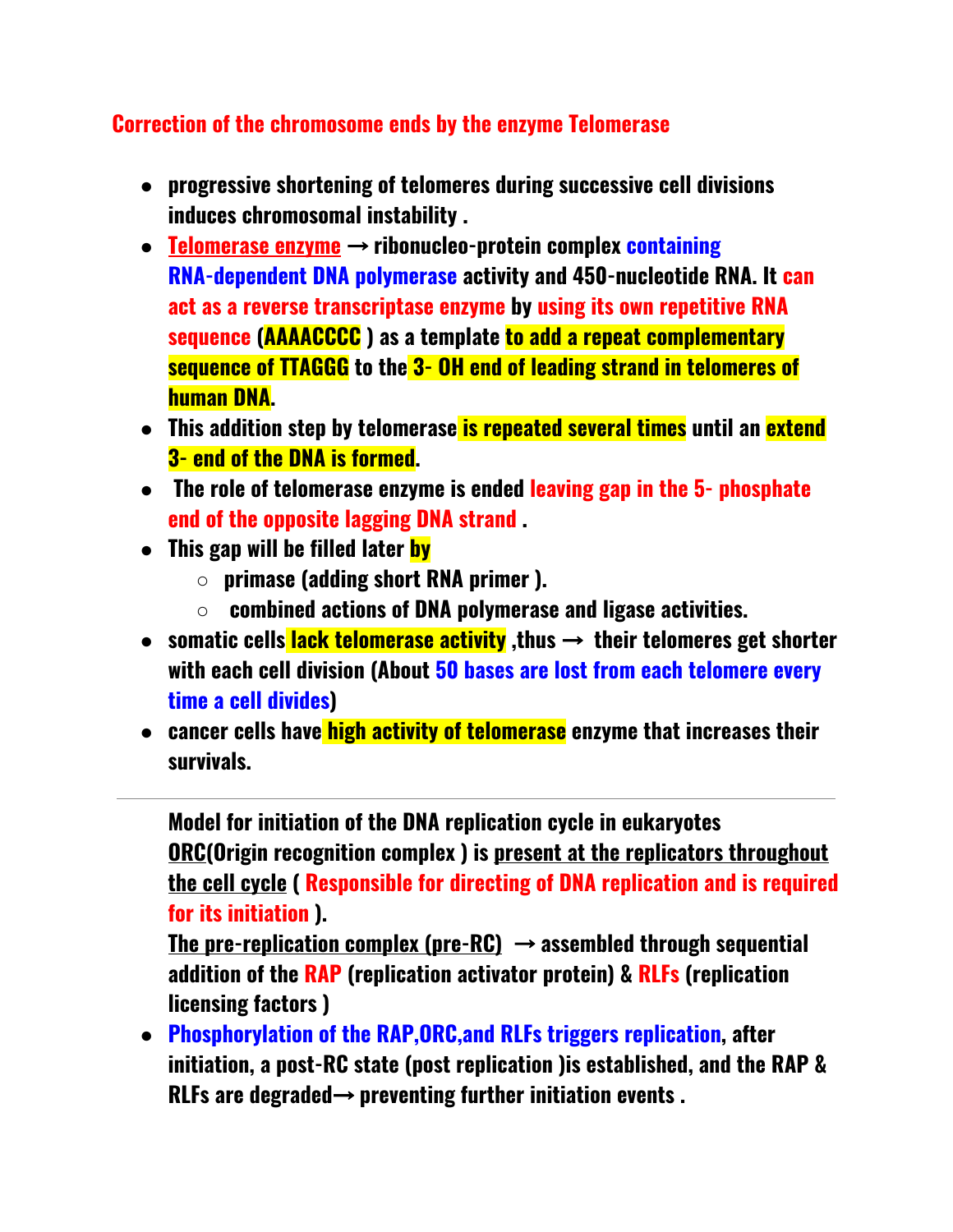## **Correction of the chromosome ends by the enzyme Telomerase**

- **● progressive shortening of telomeres during successive cell divisions induces chromosomal instability .**
- **● Telomerase enzyme** → **ribonucleo-protein complex containing RNA-dependent DNA polymerase activity and 450-nucleotide RNA. It can act as a reverse transcriptase enzyme by using its own repetitive RNA sequence (AAAACCCC ) as a template to add a repeat complementary sequence of TTAGGG to the 3- OH end of leading strand in telomeres of human DNA.**
- **● This addition step by telomerase is repeated several times until an extend 3- end of the DNA is formed.**
- **● The role of telomerase enzyme is ended leaving gap in the 5- phosphate end of the opposite lagging DNA strand .**
- **● This gap will be filled later by**
	- **○ primase (adding short RNA primer ).**
	- **○ combined actions of DNA polymerase and ligase activities.**
- **● somatic cells lack telomerase activity ,thus** → **their telomeres get shorter with each cell division (About 50 bases are lost from each telomere every time a cell divides)**
- **● cancer cells have high activity of telomerase enzyme that increases their survivals.**

**Model for initiation of the DNA replication cycle in eukaryotes ORC(Origin recognition complex ) is present at the replicators throughout the cell cycle ( Responsible for directing of DNA replication and is required for its initiation ).**

**The pre-replication complex (pre-RC)** → **assembled through sequential addition of the RAP (replication activator protein) & RLFs (replication licensing factors )**

**● Phosphorylation of the RAP,ORC,and RLFs triggers replication, after initiation, a post-RC state (post replication )is established, and the RAP & RLFs are degraded**→ **preventing further initiation events .**